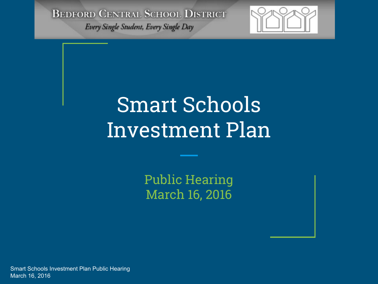Every Single Student, Every Single Day



# Smart Schools Investment Plan

Public Hearing March 16, 2016

Smart Schools Investment Plan Public Hearing March 16, 2016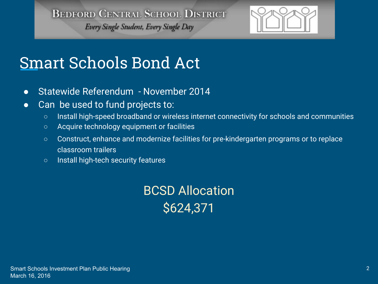Every Single Student, Every Single Day



# Smart Schools Bond Act

- Statewide Referendum November 2014
- Can be used to fund projects to:
	- Install high-speed broadband or wireless internet connectivity for schools and communities
	- Acquire technology equipment or facilities
	- Construct, enhance and modernize facilities for pre-kindergarten programs or to replace classroom trailers
	- Install high-tech security features

BCSD Allocation \$624,371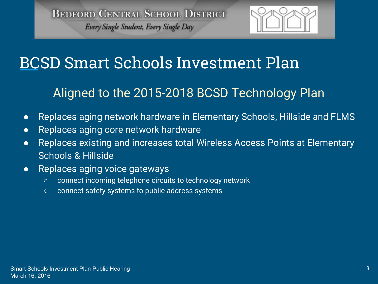

## BCSD Smart Schools Investment Plan

#### Aligned to the 2015-2018 BCSD Technology Plan

- Replaces aging network hardware in Elementary Schools, Hillside and FLMS
- Replaces aging core network hardware
- Replaces existing and increases total Wireless Access Points at Elementary Schools & Hillside
- Replaces aging voice gateways
	- connect incoming telephone circuits to technology network
	- connect safety systems to public address systems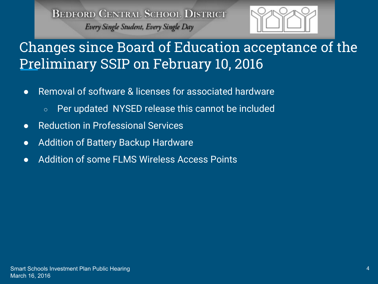

#### Changes since Board of Education acceptance of the Preliminary SSIP on February 10, 2016

- Removal of software & licenses for associated hardware
	- Per updated NYSED release this cannot be included
- Reduction in Professional Services
- Addition of Battery Backup Hardware
- Addition of some FLMS Wireless Access Points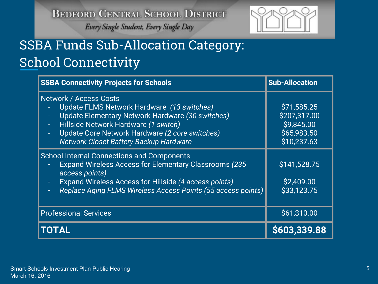

## SSBA Funds Sub-Allocation Category: School Connectivity

| <b>SSBA Connectivity Projects for Schools</b>                                                                                                                                                                                                                                                  | <b>Sub-Allocation</b>                                                   |
|------------------------------------------------------------------------------------------------------------------------------------------------------------------------------------------------------------------------------------------------------------------------------------------------|-------------------------------------------------------------------------|
| <b>Network / Access Costs</b><br>Update FLMS Network Hardware (13 switches)<br>Update Elementary Network Hardware (30 switches)<br>۳<br>Hillside Network Hardware (1 switch)<br>÷<br>Update Core Network Hardware (2 core switches)<br>÷<br><b>Network Closet Battery Backup Hardware</b><br>Ξ | \$71,585.25<br>\$207,317.00<br>\$9,845.00<br>\$65,983.50<br>\$10,237.63 |
| <b>School Internal Connections and Components</b><br><b>Expand Wireless Access for Elementary Classrooms (235)</b><br>access points)<br><b>Expand Wireless Access for Hillside (4 access points)</b><br>Replace Aging FLMS Wireless Access Points (55 access points)                           | \$141,528.75<br>\$2,409.00<br>\$33,123.75                               |
| <b>Professional Services</b>                                                                                                                                                                                                                                                                   | \$61,310.00                                                             |
| TOTAL                                                                                                                                                                                                                                                                                          | S603.339.88                                                             |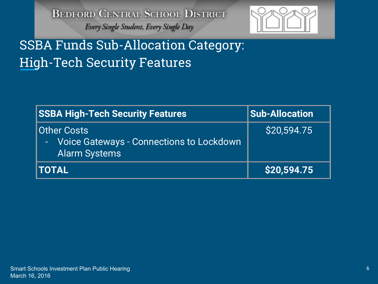

#### SSBA Funds Sub-Allocation Category: High-Tech Security Features

| <b>SSBA High-Tech Security Features</b>                                                | <b>Sub-Allocation</b> |
|----------------------------------------------------------------------------------------|-----------------------|
| Other Costs<br><b>Voice Gateways - Connections to Lockdown</b><br><b>Alarm Systems</b> | \$20,594.75           |
| <b>ITOTAL</b>                                                                          | \$20,594.75           |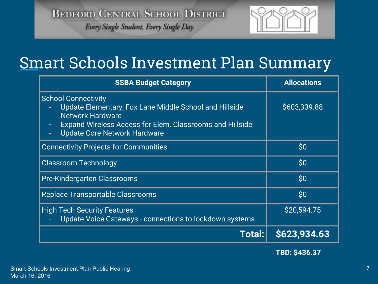Every Single Student, Every Single Day



## Smart Schools Investment Plan Summary

| <b>SSBA Budget Category</b>                                                                                                                                                                                        | <b>Allocations</b>                               |
|--------------------------------------------------------------------------------------------------------------------------------------------------------------------------------------------------------------------|--------------------------------------------------|
| <b>School Connectivity</b><br>Update Elementary, Fox Lane Middle School and Hillside<br><b>Network Hardware</b><br>Expand Wireless Access for Elem. Classrooms and Hillside<br><b>Update Core Network Hardware</b> | \$603,339.88                                     |
| <b>Connectivity Projects for Communities</b>                                                                                                                                                                       | \$0                                              |
| <b>Classroom Technology</b>                                                                                                                                                                                        | \$0                                              |
| Pre-Kindergarten Classrooms                                                                                                                                                                                        | $\mathsf{S}0$                                    |
| <b>Replace Transportable Classrooms</b>                                                                                                                                                                            | $\boldsymbol{\mathsf{S}}\boldsymbol{\mathsf{0}}$ |
| <b>High Tech Security Features</b><br><b>Update Voice Gateways - connections to lockdown systems</b>                                                                                                               | \$20,594.75                                      |
| Total:                                                                                                                                                                                                             | \$623,934.63                                     |

 **TBD: \$436.37**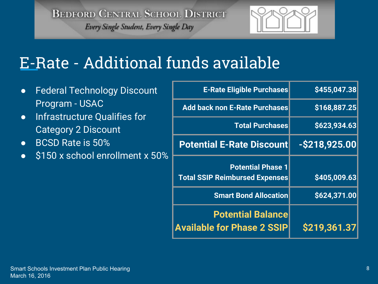

# E-Rate - Additional funds available

- Federal Technology Discount Program - USAC
- Infrastructure Qualifies for Category 2 Discount
- BCSD Rate is 50%
- \$150 x school enrollment x 50%

| <b>E-Rate Eligible Purchases</b>                                  | \$455,047.38     |
|-------------------------------------------------------------------|------------------|
| <b>Add back non E-Rate Purchases</b>                              | \$168,887.25     |
| <b>Total Purchases</b>                                            | \$623,934.63     |
| <b>Potential E-Rate Discount</b>                                  | $-$ \$218,925.00 |
| <b>Potential Phase 1</b><br><b>Total SSIP Reimbursed Expenses</b> | \$405,009.63     |
| <b>Smart Bond Allocation</b>                                      | \$624,371.00     |
| <b>Potential Balance</b><br><b>Available for Phase 2 SSIP</b>     | \$219,361.37     |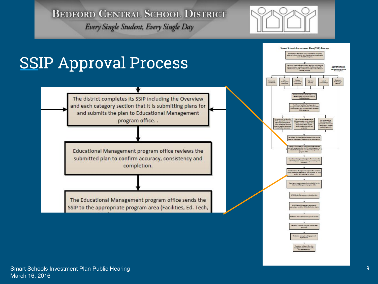Every Single Student, Every Single Day



t can begin making a<br>monochium